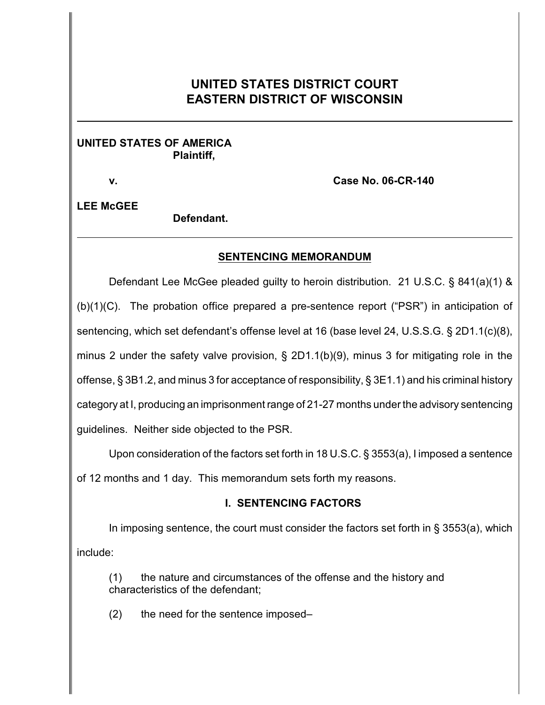# **UNITED STATES DISTRICT COURT EASTERN DISTRICT OF WISCONSIN**

#### **UNITED STATES OF AMERICA Plaintiff,**

**v. Case No. 06-CR-140**

**LEE McGEE**

**Defendant.**

# **SENTENCING MEMORANDUM**

Defendant Lee McGee pleaded guilty to heroin distribution. 21 U.S.C. § 841(a)(1) & (b)(1)(C). The probation office prepared a pre-sentence report ("PSR") in anticipation of sentencing, which set defendant's offense level at 16 (base level 24, U.S.S.G. § 2D1.1(c)(8), minus 2 under the safety valve provision, § 2D1.1(b)(9), minus 3 for mitigating role in the offense, § 3B1.2, and minus 3 for acceptance of responsibility, § 3E1.1) and his criminal history category at I, producing an imprisonment range of 21-27 months under the advisory sentencing guidelines. Neither side objected to the PSR.

Upon consideration of the factors set forth in 18 U.S.C. § 3553(a), I imposed a sentence

of 12 months and 1 day. This memorandum sets forth my reasons.

# **I. SENTENCING FACTORS**

In imposing sentence, the court must consider the factors set forth in  $\S$  3553(a), which include:

(1) the nature and circumstances of the offense and the history and characteristics of the defendant;

(2) the need for the sentence imposed–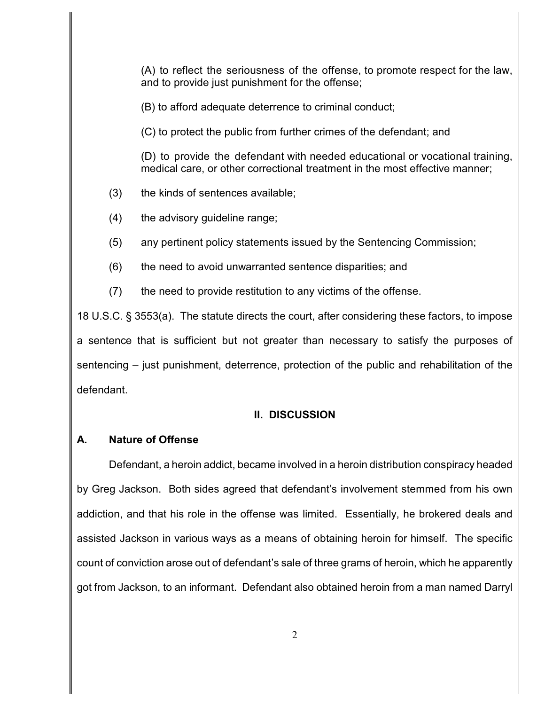(A) to reflect the seriousness of the offense, to promote respect for the law, and to provide just punishment for the offense;

(B) to afford adequate deterrence to criminal conduct;

(C) to protect the public from further crimes of the defendant; and

(D) to provide the defendant with needed educational or vocational training, medical care, or other correctional treatment in the most effective manner;

(3) the kinds of sentences available;

(4) the advisory guideline range;

(5) any pertinent policy statements issued by the Sentencing Commission;

(6) the need to avoid unwarranted sentence disparities; and

(7) the need to provide restitution to any victims of the offense.

18 U.S.C. § 3553(a). The statute directs the court, after considering these factors, to impose a sentence that is sufficient but not greater than necessary to satisfy the purposes of sentencing – just punishment, deterrence, protection of the public and rehabilitation of the defendant.

# **II. DISCUSSION**

# **A. Nature of Offense**

Defendant, a heroin addict, became involved in a heroin distribution conspiracy headed by Greg Jackson. Both sides agreed that defendant's involvement stemmed from his own addiction, and that his role in the offense was limited. Essentially, he brokered deals and assisted Jackson in various ways as a means of obtaining heroin for himself. The specific count of conviction arose out of defendant's sale of three grams of heroin, which he apparently got from Jackson, to an informant. Defendant also obtained heroin from a man named Darryl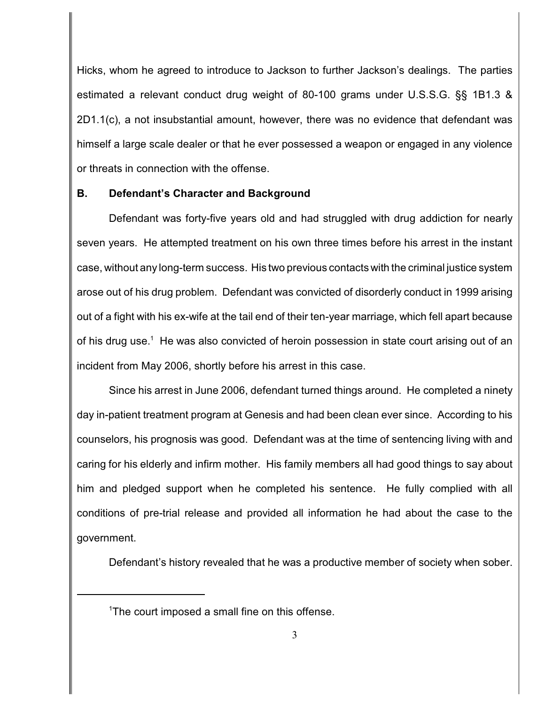Hicks, whom he agreed to introduce to Jackson to further Jackson's dealings. The parties estimated a relevant conduct drug weight of 80-100 grams under U.S.S.G. §§ 1B1.3 & 2D1.1(c), a not insubstantial amount, however, there was no evidence that defendant was himself a large scale dealer or that he ever possessed a weapon or engaged in any violence or threats in connection with the offense.

#### **B. Defendant's Character and Background**

Defendant was forty-five years old and had struggled with drug addiction for nearly seven years. He attempted treatment on his own three times before his arrest in the instant case, without any long-term success. His two previous contacts with the criminal justice system arose out of his drug problem. Defendant was convicted of disorderly conduct in 1999 arising out of a fight with his ex-wife at the tail end of their ten-year marriage, which fell apart because of his drug use.<sup>1</sup> He was also convicted of heroin possession in state court arising out of an incident from May 2006, shortly before his arrest in this case.

Since his arrest in June 2006, defendant turned things around. He completed a ninety day in-patient treatment program at Genesis and had been clean ever since. According to his counselors, his prognosis was good. Defendant was at the time of sentencing living with and caring for his elderly and infirm mother. His family members all had good things to say about him and pledged support when he completed his sentence. He fully complied with all conditions of pre-trial release and provided all information he had about the case to the government.

Defendant's history revealed that he was a productive member of society when sober.

 $T$ he court imposed a small fine on this offense.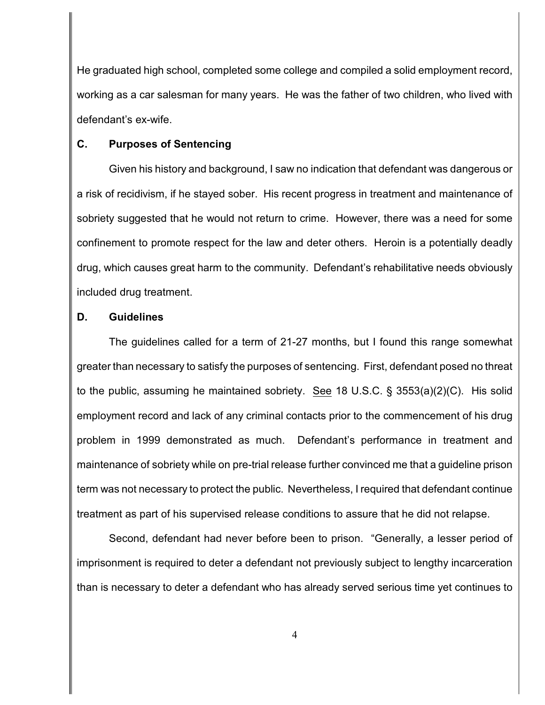He graduated high school, completed some college and compiled a solid employment record, working as a car salesman for many years. He was the father of two children, who lived with defendant's ex-wife.

#### **C. Purposes of Sentencing**

Given his history and background, I saw no indication that defendant was dangerous or a risk of recidivism, if he stayed sober. His recent progress in treatment and maintenance of sobriety suggested that he would not return to crime. However, there was a need for some confinement to promote respect for the law and deter others. Heroin is a potentially deadly drug, which causes great harm to the community. Defendant's rehabilitative needs obviously included drug treatment.

#### **D. Guidelines**

The guidelines called for a term of 21-27 months, but I found this range somewhat greater than necessary to satisfy the purposes of sentencing. First, defendant posed no threat to the public, assuming he maintained sobriety. See 18 U.S.C. § 3553(a)(2)(C). His solid employment record and lack of any criminal contacts prior to the commencement of his drug problem in 1999 demonstrated as much. Defendant's performance in treatment and maintenance of sobriety while on pre-trial release further convinced me that a guideline prison term was not necessary to protect the public. Nevertheless, I required that defendant continue treatment as part of his supervised release conditions to assure that he did not relapse.

Second, defendant had never before been to prison. "Generally, a lesser period of imprisonment is required to deter a defendant not previously subject to lengthy incarceration than is necessary to deter a defendant who has already served serious time yet continues to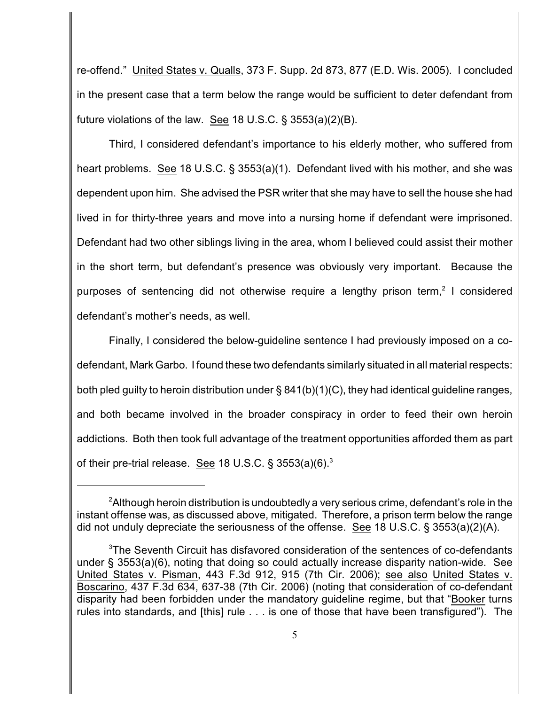re-offend." United States v. Qualls, 373 F. Supp. 2d 873, 877 (E.D. Wis. 2005). I concluded in the present case that a term below the range would be sufficient to deter defendant from future violations of the law. See 18 U.S.C. § 3553(a)(2)(B).

Third, I considered defendant's importance to his elderly mother, who suffered from heart problems. See 18 U.S.C. § 3553(a)(1). Defendant lived with his mother, and she was dependent upon him. She advised the PSR writer that she may have to sell the house she had lived in for thirty-three years and move into a nursing home if defendant were imprisoned. Defendant had two other siblings living in the area, whom I believed could assist their mother in the short term, but defendant's presence was obviously very important. Because the purposes of sentencing did not otherwise require a lengthy prison term,<sup>2</sup> I considered defendant's mother's needs, as well.

Finally, I considered the below-guideline sentence I had previously imposed on a codefendant, Mark Garbo. I found these two defendants similarly situated in all material respects: both pled guilty to heroin distribution under § 841(b)(1)(C), they had identical guideline ranges, and both became involved in the broader conspiracy in order to feed their own heroin addictions. Both then took full advantage of the treatment opportunities afforded them as part of their pre-trial release. See 18 U.S.C.  $\S 3553(a)(6)^3$ 

 ${}^{2}$ Although heroin distribution is undoubtedly a very serious crime, defendant's role in the instant offense was, as discussed above, mitigated. Therefore, a prison term below the range did not unduly depreciate the seriousness of the offense. See 18 U.S.C. § 3553(a)(2)(A).

 $3$ The Seventh Circuit has disfavored consideration of the sentences of co-defendants under § 3553(a)(6), noting that doing so could actually increase disparity nation-wide. See United States v. Pisman, 443 F.3d 912, 915 (7th Cir. 2006); see also United States v. Boscarino, 437 F.3d 634, 637-38 (7th Cir. 2006) (noting that consideration of co-defendant disparity had been forbidden under the mandatory guideline regime, but that "Booker turns rules into standards, and [this] rule . . . is one of those that have been transfigured"). The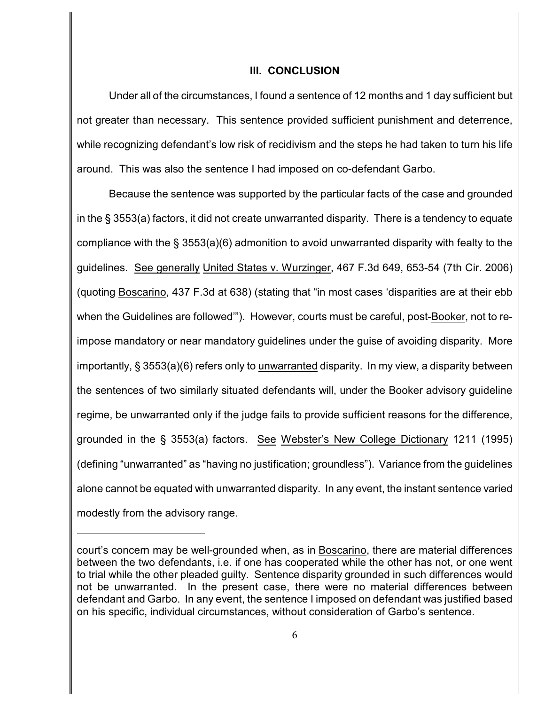#### **III. CONCLUSION**

Under all of the circumstances, I found a sentence of 12 months and 1 day sufficient but not greater than necessary. This sentence provided sufficient punishment and deterrence, while recognizing defendant's low risk of recidivism and the steps he had taken to turn his life around. This was also the sentence I had imposed on co-defendant Garbo.

Because the sentence was supported by the particular facts of the case and grounded in the § 3553(a) factors, it did not create unwarranted disparity. There is a tendency to equate compliance with the § 3553(a)(6) admonition to avoid unwarranted disparity with fealty to the guidelines. See generally United States v. Wurzinger, 467 F.3d 649, 653-54 (7th Cir. 2006) (quoting Boscarino, 437 F.3d at 638) (stating that "in most cases 'disparities are at their ebb when the Guidelines are followed'"). However, courts must be careful, post-Booker, not to reimpose mandatory or near mandatory guidelines under the guise of avoiding disparity. More importantly, § 3553(a)(6) refers only to unwarranted disparity. In my view, a disparity between the sentences of two similarly situated defendants will, under the Booker advisory guideline regime, be unwarranted only if the judge fails to provide sufficient reasons for the difference, grounded in the § 3553(a) factors. See Webster's New College Dictionary 1211 (1995) (defining "unwarranted" as "having no justification; groundless"). Variance from the guidelines alone cannot be equated with unwarranted disparity. In any event, the instant sentence varied modestly from the advisory range.

court's concern may be well-grounded when, as in Boscarino, there are material differences between the two defendants, i.e. if one has cooperated while the other has not, or one went to trial while the other pleaded guilty. Sentence disparity grounded in such differences would not be unwarranted. In the present case, there were no material differences between defendant and Garbo. In any event, the sentence I imposed on defendant was justified based on his specific, individual circumstances, without consideration of Garbo's sentence.